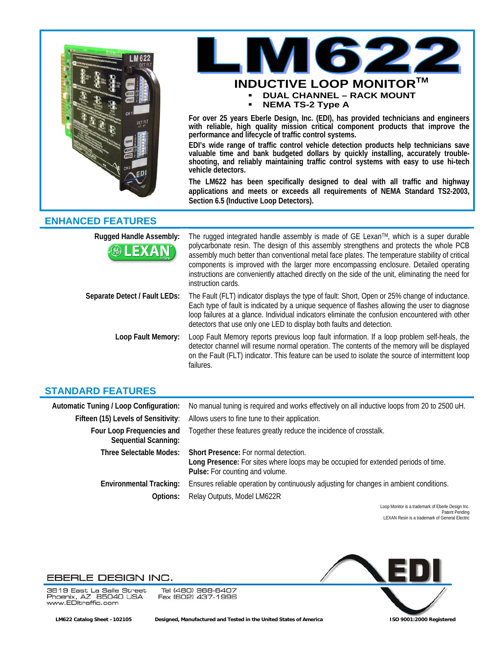



**with reliable, high quality mission critical component products that improve the performance and lifecycle of traffic control systems.** 

**EDI's wide range of traffic control vehicle detection products help technicians save valuable time and bank budgeted dollars by quickly installing, accurately troubleshooting, and reliably maintaining traffic control systems with easy to use hi-tech vehicle detectors.** 

**The LM622 has been specifically designed to deal with all traffic and highway applications and meets or exceeds all requirements of NEMA Standard TS2-2003, Section 6.5 (Inductive Loop Detectors).** 

## **ENHANCED FEATURES**

| <b>Rugged Handle Assembly:</b><br><b>BLEXAN</b> | The rugged integrated handle assembly is made of GE Lexan™, which is a super durable<br>polycarbonate resin. The design of this assembly strengthens and protects the whole PCB<br>assembly much better than conventional metal face plates. The temperature stability of critical<br>components is improved with the larger more encompassing enclosure. Detailed operating<br>instructions are conveniently attached directly on the side of the unit, eliminating the need for<br>instruction cards. |
|-------------------------------------------------|---------------------------------------------------------------------------------------------------------------------------------------------------------------------------------------------------------------------------------------------------------------------------------------------------------------------------------------------------------------------------------------------------------------------------------------------------------------------------------------------------------|
| Separate Detect / Fault LEDs:                   | The Fault (FLT) indicator displays the type of fault: Short, Open or 25% change of inductance.<br>Each type of fault is indicated by a unique sequence of flashes allowing the user to diagnose<br>loop failures at a glance. Individual indicators eliminate the confusion encountered with other<br>detectors that use only one LED to display both faults and detection.                                                                                                                             |
| Loop Fault Memory:                              | Loop Fault Memory reports previous loop fault information. If a loop problem self-heals, the<br>detector channel will resume normal operation. The contents of the memory will be displayed<br>on the Fault (FLT) indicator. This feature can be used to isolate the source of intermittent loop<br>failures.                                                                                                                                                                                           |

# **STANDARD FEATURES**

| Automatic Tuning / Loop Configuration:                   | No manual tuning is required and works effectively on all inductive loops from 20 to 2500 uH.                                                                         |
|----------------------------------------------------------|-----------------------------------------------------------------------------------------------------------------------------------------------------------------------|
| Fifteen (15) Levels of Sensitivity:                      | Allows users to fine tune to their application.                                                                                                                       |
| Four Loop Frequencies and<br><b>Sequential Scanning:</b> | Together these features greatly reduce the incidence of crosstalk.                                                                                                    |
| <b>Three Selectable Modes:</b>                           | <b>Short Presence:</b> For normal detection.<br>Long Presence: For sites where loops may be occupied for extended periods of time.<br>Pulse: For counting and volume. |
| <b>Environmental Tracking:</b><br>Options:               | Ensures reliable operation by continuously adjusting for changes in ambient conditions.<br>Relay Outputs, Model LM622R                                                |

Loop Monitor is a trademark of Eberle Design Inc. Patent Pending LEXAN Resin is a trademark of General Electric

### EBERLE DESIGN INC.

3819 East La Salle Street Phoenix, AZ 85040 USA<br>www.EDltraffic.com

Tel (480) 968-6407 Fax (602) 437-1996